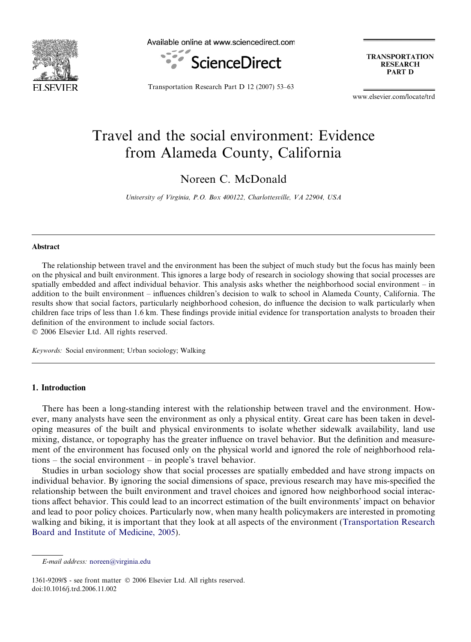

Available online at www.sciencedirect.com



**TRANSPORTATION RESEARCH PART D** 

Transportation Research Part D 12 (2007) 53–63

www.elsevier.com/locate/trd

# Travel and the social environment: Evidence from Alameda County, California

Noreen C. McDonald

University of Virginia, P.O. Box 400122, Charlottesville, VA 22904, USA

# Abstract

The relationship between travel and the environment has been the subject of much study but the focus has mainly been on the physical and built environment. This ignores a large body of research in sociology showing that social processes are spatially embedded and affect individual behavior. This analysis asks whether the neighborhood social environment – in addition to the built environment – influences children's decision to walk to school in Alameda County, California. The results show that social factors, particularly neighborhood cohesion, do influence the decision to walk particularly when children face trips of less than 1.6 km. These findings provide initial evidence for transportation analysts to broaden their definition of the environment to include social factors.

 $© 2006 Elsevier Ltd. All rights reserved.$ 

Keywords: Social environment; Urban sociology; Walking

# 1. Introduction

There has been a long-standing interest with the relationship between travel and the environment. However, many analysts have seen the environment as only a physical entity. Great care has been taken in developing measures of the built and physical environments to isolate whether sidewalk availability, land use mixing, distance, or topography has the greater influence on travel behavior. But the definition and measurement of the environment has focused only on the physical world and ignored the role of neighborhood relations – the social environment – in people's travel behavior.

Studies in urban sociology show that social processes are spatially embedded and have strong impacts on individual behavior. By ignoring the social dimensions of space, previous research may have mis-specified the relationship between the built environment and travel choices and ignored how neighborhood social interactions affect behavior. This could lead to an incorrect estimation of the built environments' impact on behavior and lead to poor policy choices. Particularly now, when many health policymakers are interested in promoting walking and biking, it is important that they look at all aspects of the environment [\(Transportation Research](#page-10-0) [Board and Institute of Medicine, 2005\)](#page-10-0).

E-mail address: [noreen@virginia.edu](mailto:noreen@virginia.edu)

<sup>1361-9209/\$ -</sup> see front matter © 2006 Elsevier Ltd. All rights reserved. doi:10.1016/j.trd.2006.11.002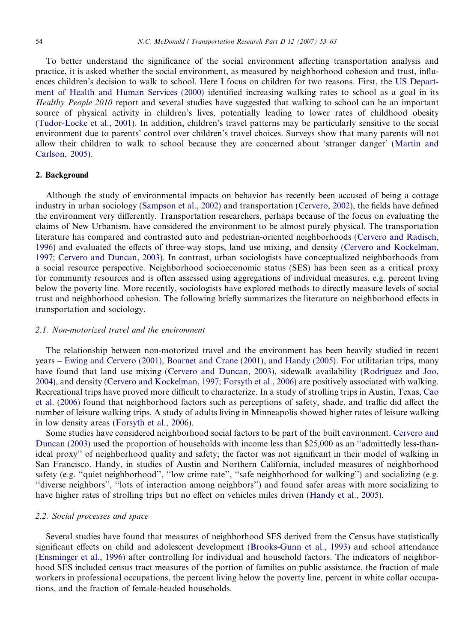To better understand the significance of the social environment affecting transportation analysis and practice, it is asked whether the social environment, as measured by neighborhood cohesion and trust, influences children's decision to walk to school. Here I focus on children for two reasons. First, the [US Depart](#page-10-0)[ment of Health and Human Services \(2000\)](#page-10-0) identified increasing walking rates to school as a goal in its Healthy People 2010 report and several studies have suggested that walking to school can be an important source of physical activity in children's lives, potentially leading to lower rates of childhood obesity ([Tudor-Locke et al., 2001](#page-10-0)). In addition, children's travel patterns may be particularly sensitive to the social environment due to parents' control over children's travel choices. Surveys show that many parents will not allow their children to walk to school because they are concerned about 'stranger danger' [\(Martin and](#page-9-0) [Carlson, 2005](#page-9-0)).

#### 2. Background

Although the study of environmental impacts on behavior has recently been accused of being a cottage industry in urban sociology [\(Sampson et al., 2002\)](#page-9-0) and transportation [\(Cervero, 2002\)](#page-9-0), the fields have defined the environment very differently. Transportation researchers, perhaps because of the focus on evaluating the claims of New Urbanism, have considered the environment to be almost purely physical. The transportation literature has compared and contrasted auto and pedestrian-oriented neighborhoods [\(Cervero and Radisch,](#page-9-0) [1996](#page-9-0)) and evaluated the effects of three-way stops, land use mixing, and density ([Cervero and Kockelman,](#page-9-0) [1997; Cervero and Duncan, 2003\)](#page-9-0). In contrast, urban sociologists have conceptualized neighborhoods from a social resource perspective. Neighborhood socioeconomic status (SES) has been seen as a critical proxy for community resources and is often assessed using aggregations of individual measures, e.g. percent living below the poverty line. More recently, sociologists have explored methods to directly measure levels of social trust and neighborhood cohesion. The following briefly summarizes the literature on neighborhood effects in transportation and sociology.

# 2.1. Non-motorized travel and the environment

The relationship between non-motorized travel and the environment has been heavily studied in recent years – [Ewing and Cervero \(2001\), Boarnet and Crane \(2001\), and Handy \(2005\).](#page-9-0) For utilitarian trips, many have found that land use mixing [\(Cervero and Duncan, 2003\)](#page-9-0), sidewalk availability [\(Rodriguez and Joo,](#page-9-0) [2004](#page-9-0)), and density ([Cervero and Kockelman, 1997; Forsyth et al., 2006\)](#page-9-0) are positively associated with walking. Recreational trips have proved more difficult to characterize. In a study of strolling trips in Austin, Texas, [Cao](#page-9-0) [et al. \(2006\)](#page-9-0) found that neighborhood factors such as perceptions of safety, shade, and traffic did affect the number of leisure walking trips. A study of adults living in Minneapolis showed higher rates of leisure walking in low density areas ([Forsyth et al., 2006](#page-9-0)).

Some studies have considered neighborhood social factors to be part of the built environment. [Cervero and](#page-9-0) [Duncan \(2003\)](#page-9-0) used the proportion of households with income less than \$25,000 as an ''admittedly less-thanideal proxy'' of neighborhood quality and safety; the factor was not significant in their model of walking in San Francisco. Handy, in studies of Austin and Northern California, included measures of neighborhood safety (e.g. "quiet neighborhood", "low crime rate", "safe neighborhood for walking") and socializing (e.g. ''diverse neighbors'', ''lots of interaction among neighbors'') and found safer areas with more socializing to have higher rates of strolling trips but no effect on vehicles miles driven ([Handy et al., 2005\)](#page-9-0).

# 2.2. Social processes and space

Several studies have found that measures of neighborhood SES derived from the Census have statistically significant effects on child and adolescent development ([Brooks-Gunn et al., 1993\)](#page-9-0) and school attendance ([Ensminger et al., 1996\)](#page-9-0) after controlling for individual and household factors. The indicators of neighborhood SES included census tract measures of the portion of families on public assistance, the fraction of male workers in professional occupations, the percent living below the poverty line, percent in white collar occupations, and the fraction of female-headed households.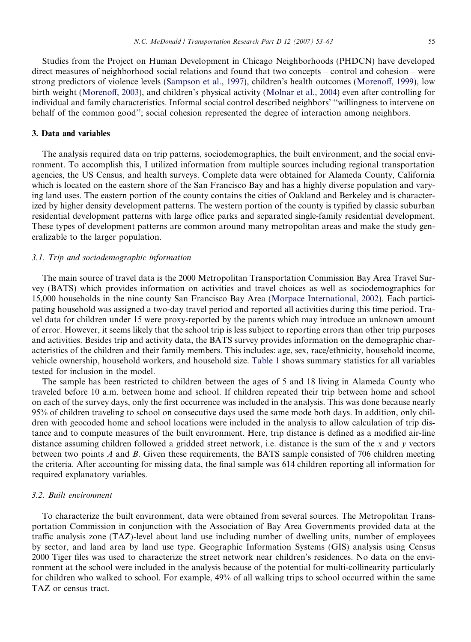Studies from the Project on Human Development in Chicago Neighborhoods (PHDCN) have developed direct measures of neighborhood social relations and found that two concepts – control and cohesion – were strong predictors of violence levels ([Sampson et al., 1997](#page-9-0)), children's health outcomes [\(Morenoff, 1999](#page-9-0)), low birth weight ([Morenoff, 2003\)](#page-9-0), and children's physical activity ([Molnar et al., 2004\)](#page-9-0) even after controlling for individual and family characteristics. Informal social control described neighbors' ''willingness to intervene on behalf of the common good''; social cohesion represented the degree of interaction among neighbors.

# 3. Data and variables

The analysis required data on trip patterns, sociodemographics, the built environment, and the social environment. To accomplish this, I utilized information from multiple sources including regional transportation agencies, the US Census, and health surveys. Complete data were obtained for Alameda County, California which is located on the eastern shore of the San Francisco Bay and has a highly diverse population and varying land uses. The eastern portion of the county contains the cities of Oakland and Berkeley and is characterized by higher density development patterns. The western portion of the county is typified by classic suburban residential development patterns with large office parks and separated single-family residential development. These types of development patterns are common around many metropolitan areas and make the study generalizable to the larger population.

#### 3.1. Trip and sociodemographic information

The main source of travel data is the 2000 Metropolitan Transportation Commission Bay Area Travel Survey (BATS) which provides information on activities and travel choices as well as sociodemographics for 15,000 households in the nine county San Francisco Bay Area ([Morpace International, 2002\)](#page-9-0). Each participating household was assigned a two-day travel period and reported all activities during this time period. Travel data for children under 15 were proxy-reported by the parents which may introduce an unknown amount of error. However, it seems likely that the school trip is less subject to reporting errors than other trip purposes and activities. Besides trip and activity data, the BATS survey provides information on the demographic characteristics of the children and their family members. This includes: age, sex, race/ethnicity, household income, vehicle ownership, household workers, and household size. [Table 1](#page-3-0) shows summary statistics for all variables tested for inclusion in the model.

The sample has been restricted to children between the ages of 5 and 18 living in Alameda County who traveled before 10 a.m. between home and school. If children repeated their trip between home and school on each of the survey days, only the first occurrence was included in the analysis. This was done because nearly 95% of children traveling to school on consecutive days used the same mode both days. In addition, only children with geocoded home and school locations were included in the analysis to allow calculation of trip distance and to compute measures of the built environment. Here, trip distance is defined as a modified air-line distance assuming children followed a gridded street network, i.e. distance is the sum of the x and y vectors between two points A and B. Given these requirements, the BATS sample consisted of 706 children meeting the criteria. After accounting for missing data, the final sample was 614 children reporting all information for required explanatory variables.

# 3.2. Built environment

To characterize the built environment, data were obtained from several sources. The Metropolitan Transportation Commission in conjunction with the Association of Bay Area Governments provided data at the traffic analysis zone (TAZ)-level about land use including number of dwelling units, number of employees by sector, and land area by land use type. Geographic Information Systems (GIS) analysis using Census 2000 Tiger files was used to characterize the street network near children's residences. No data on the environment at the school were included in the analysis because of the potential for multi-collinearity particularly for children who walked to school. For example, 49% of all walking trips to school occurred within the same TAZ or census tract.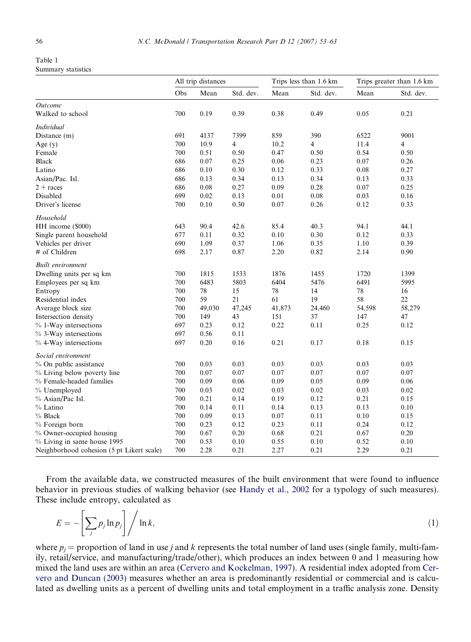<span id="page-3-0"></span>

| Table 1            |  |
|--------------------|--|
| Summary statistics |  |

|                                           | All trip distances |        |           | Trips less than 1.6 km |           | Trips greater than 1.6 km |           |
|-------------------------------------------|--------------------|--------|-----------|------------------------|-----------|---------------------------|-----------|
|                                           | Obs                | Mean   | Std. dev. | Mean                   | Std. dev. | Mean                      | Std. dev. |
| <b>Outcome</b>                            |                    |        |           |                        |           |                           |           |
| Walked to school                          | 700                | 0.19   | 0.39      | 0.38                   | 0.49      | 0.05                      | 0.21      |
| <b>Individual</b>                         |                    |        |           |                        |           |                           |           |
| Distance (m)                              | 691                | 4137   | 7399      | 859                    | 390       | 6522                      | 9001      |
| Age $(y)$                                 | 700                | 10.9   | 4         | 10.2                   | 4         | 11.4                      | 4         |
| Female                                    | 700                | 0.51   | 0.50      | 0.47                   | 0.50      | 0.54                      | 0.50      |
| Black                                     | 686                | 0.07   | 0.25      | 0.06                   | 0.23      | 0.07                      | 0.26      |
| Latino                                    | 686                | 0.10   | 0.30      | 0.12                   | 0.33      | 0.08                      | 0.27      |
| Asian/Pac. Isl.                           | 686                | 0.13   | 0.34      | 0.13                   | 0.34      | 0.13                      | 0.33      |
| $2 +$ races                               | 686                | 0.08   | 0.27      | 0.09                   | 0.28      | 0.07                      | 0.25      |
| Disabled                                  | 699                | 0.02   | 0.13      | $0.01\,$               | $0.08\,$  | 0.03                      | 0.16      |
| Driver's license                          | 700                | 0.10   | 0.30      | 0.07                   | 0.26      | 0.12                      | 0.33      |
| Household                                 |                    |        |           |                        |           |                           |           |
| HH income (\$000)                         | 643                | 90.4   | 42.6      | 85.4                   | 40.3      | 94.1                      | 44.1      |
| Single parent household                   | 677                | 0.11   | 0.32      | $0.10\,$               | 0.30      | 0.12                      | 0.33      |
| Vehicles per driver                       | 690                | 1.09   | 0.37      | 1.06                   | 0.35      | 1.10                      | 0.39      |
| # of Children                             | 698                | 2.17   | 0.87      | 2.20                   | 0.82      | 2.14                      | 0.90      |
| <b>Built</b> environment                  |                    |        |           |                        |           |                           |           |
| Dwelling units per sq km                  | 700                | 1815   | 1533      | 1876                   | 1455      | 1720                      | 1399      |
| Employees per sq km                       | 700                | 6483   | 5803      | 6404                   | 5476      | 6491                      | 5995      |
| Entropy                                   | 700                | 78     | 15        | 78                     | 14        | $78\,$                    | 16        |
| Residential index                         | 700                | 59     | 21        | 61                     | 19        | 58                        | 22        |
| Average block size                        | 700                | 49,030 | 47,245    | 41,873                 | 24,460    | 54,598                    | 58,279    |
| Intersection density                      | 700                | 149    | 43        | 151                    | 37        | 147                       | 47        |
| % 1-Way intersections                     | 697                | 0.23   | 0.12      | 0.22                   | 0.11      | 0.25                      | 0.12      |
| % 3-Way intersections                     | 697                | 0.56   | 0.11      |                        |           |                           |           |
| % 4-Way intersections                     | 697                | 0.20   | 0.16      | 0.21                   | 0.17      | 0.18                      | 0.15      |
| Social environment                        |                    |        |           |                        |           |                           |           |
| % On public assistance                    | 700                | 0.03   | 0.03      | 0.03                   | 0.03      | 0.03                      | 0.03      |
| % Living below poverty line               | 700                | 0.07   | 0.07      | 0.07                   | 0.07      | 0.07                      | 0.07      |
| % Female-headed families                  | 700                | 0.09   | 0.06      | 0.09                   | 0.05      | 0.09                      | 0.06      |
| % Unemployed                              | 700                | 0.03   | 0.02      | 0.03                   | 0.02      | 0.03                      | 0.02      |
| % Asian/Pac Isl.                          | 700                | 0.21   | 0.14      | 0.19                   | 0.12      | 0.21                      | 0.15      |
| % Latino                                  | 700                | 0.14   | 0.11      | 0.14                   | 0.13      | 0.13                      | 0.10      |
| % Black                                   | 700                | 0.09   | 0.13      | 0.07                   | 0.11      | 0.10                      | 0.15      |
| % Foreign born                            | 700                | 0.23   | 0.12      | 0.23                   | 0.11      | 0.24                      | 0.12      |
| % Owner-occupied housing                  | 700                | 0.67   | 0.20      | 0.68                   | 0.21      | 0.67                      | 0.20      |
| % Living in same house 1995               | 700                | 0.53   | 0.10      | 0.55                   | 0.10      | 0.52                      | 0.10      |
| Neighborhood cohesion (5 pt Likert scale) | 700                | 2.28   | 0.21      | 2.27                   | 0.21      | 2.29                      | 0.21      |

From the available data, we constructed measures of the built environment that were found to influence behavior in previous studies of walking behavior (see [Handy et al., 2002](#page-9-0) for a typology of such measures). These include entropy, calculated as

$$
E = -\left[\sum_{j} p_{j} \ln p_{j}\right] / \ln k, \tag{1}
$$

where  $p_i$  = proportion of land in use j and k represents the total number of land uses (single family, multi-family, retail/service, and manufacturing/trade/other), which produces an index between 0 and 1 measuring how mixed the land uses are within an area [\(Cervero and Kockelman, 1997\)](#page-9-0). A residential index adopted from [Cer](#page-9-0)[vero and Duncan \(2003\)](#page-9-0) measures whether an area is predominantly residential or commercial and is calculated as dwelling units as a percent of dwelling units and total employment in a traffic analysis zone. Density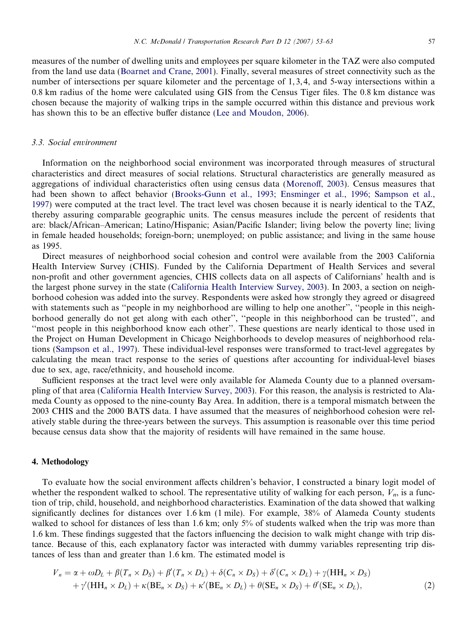measures of the number of dwelling units and employees per square kilometer in the TAZ were also computed from the land use data [\(Boarnet and Crane, 2001](#page-9-0)). Finally, several measures of street connectivity such as the number of intersections per square kilometer and the percentage of 1,3,4, and 5-way intersections within a 0.8 km radius of the home were calculated using GIS from the Census Tiger files. The 0.8 km distance was chosen because the majority of walking trips in the sample occurred within this distance and previous work has shown this to be an effective buffer distance ([Lee and Moudon, 2006](#page-9-0)).

# 3.3. Social environment

Information on the neighborhood social environment was incorporated through measures of structural characteristics and direct measures of social relations. Structural characteristics are generally measured as aggregations of individual characteristics often using census data ([Morenoff, 2003\)](#page-9-0). Census measures that had been shown to affect behavior [\(Brooks-Gunn et al., 1993; Ensminger et al., 1996; Sampson et al.,](#page-9-0) [1997\)](#page-9-0) were computed at the tract level. The tract level was chosen because it is nearly identical to the TAZ, thereby assuring comparable geographic units. The census measures include the percent of residents that are: black/African–American; Latino/Hispanic; Asian/Pacific Islander; living below the poverty line; living in female headed households; foreign-born; unemployed; on public assistance; and living in the same house as 1995.

Direct measures of neighborhood social cohesion and control were available from the 2003 California Health Interview Survey (CHIS). Funded by the California Department of Health Services and several non-profit and other government agencies, CHIS collects data on all aspects of Californians' health and is the largest phone survey in the state [\(California Health Interview Survey, 2003\)](#page-9-0). In 2003, a section on neighborhood cohesion was added into the survey. Respondents were asked how strongly they agreed or disagreed with statements such as "people in my neighborhood are willing to help one another", "people in this neighborhood generally do not get along with each other'', ''people in this neighborhood can be trusted'', and ''most people in this neighborhood know each other''. These questions are nearly identical to those used in the Project on Human Development in Chicago Neighborhoods to develop measures of neighborhood relations ([Sampson et al., 1997](#page-9-0)). These individual-level responses were transformed to tract-level aggregates by calculating the mean tract response to the series of questions after accounting for individual-level biases due to sex, age, race/ethnicity, and household income.

Sufficient responses at the tract level were only available for Alameda County due to a planned oversampling of that area [\(California Health Interview Survey, 2003](#page-9-0)). For this reason, the analysis is restricted to Alameda County as opposed to the nine-county Bay Area. In addition, there is a temporal mismatch between the 2003 CHIS and the 2000 BATS data. I have assumed that the measures of neighborhood cohesion were relatively stable during the three-years between the surveys. This assumption is reasonable over this time period because census data show that the majority of residents will have remained in the same house.

# 4. Methodology

To evaluate how the social environment affects children's behavior, I constructed a binary logit model of whether the respondent walked to school. The representative utility of walking for each person,  $V_n$ , is a function of trip, child, household, and neighborhood characteristics. Examination of the data showed that walking significantly declines for distances over 1.6 km (1 mile). For example, 38% of Alameda County students walked to school for distances of less than 1.6 km; only 5% of students walked when the trip was more than 1.6 km. These findings suggested that the factors influencing the decision to walk might change with trip distance. Because of this, each explanatory factor was interacted with dummy variables representing trip distances of less than and greater than 1.6 km. The estimated model is

$$
V_n = \alpha + \omega D_L + \beta (T_n \times D_S) + \beta' (T_n \times D_L) + \delta (C_n \times D_S) + \delta' (C_n \times D_L) + \gamma (HH_n \times D_S)
$$
  
+  $\gamma' (HH_n \times D_L) + \kappa (BE_n \times D_S) + \kappa' (BE_n \times D_L) + \theta (SE_n \times D_S) + \theta' (SE_n \times D_L),$  (2)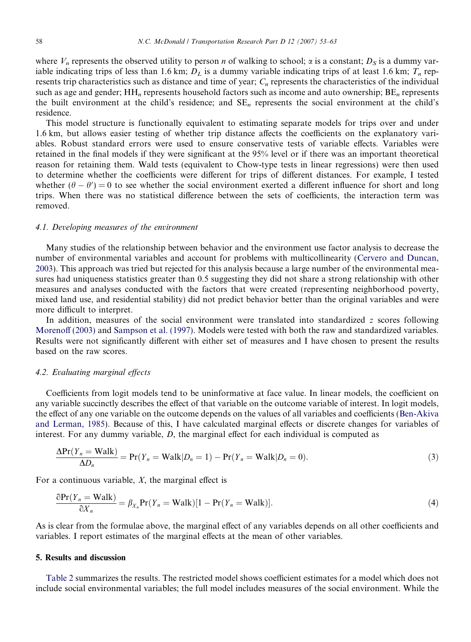where  $V_n$  represents the observed utility to person n of walking to school;  $\alpha$  is a constant;  $D_s$  is a dummy variable indicating trips of less than 1.6 km;  $D<sub>L</sub>$  is a dummy variable indicating trips of at least 1.6 km;  $T<sub>n</sub>$  represents trip characteristics such as distance and time of year;  $C_n$  represents the characteristics of the individual such as age and gender;  $HH_n$  represents household factors such as income and auto ownership;  $BE_n$  represents the built environment at the child's residence; and  $SE_n$  represents the social environment at the child's residence.

This model structure is functionally equivalent to estimating separate models for trips over and under 1.6 km, but allows easier testing of whether trip distance affects the coefficients on the explanatory variables. Robust standard errors were used to ensure conservative tests of variable effects. Variables were retained in the final models if they were significant at the 95% level or if there was an important theoretical reason for retaining them. Wald tests (equivalent to Chow-type tests in linear regressions) were then used to determine whether the coefficients were different for trips of different distances. For example, I tested whether  $(\theta - \theta') = 0$  to see whether the social environment exerted a different influence for short and long trips. When there was no statistical difference between the sets of coefficients, the interaction term was removed.

#### 4.1. Developing measures of the environment

Many studies of the relationship between behavior and the environment use factor analysis to decrease the number of environmental variables and account for problems with multicollinearity [\(Cervero and Duncan,](#page-9-0) [2003](#page-9-0)). This approach was tried but rejected for this analysis because a large number of the environmental measures had uniqueness statistics greater than 0.5 suggesting they did not share a strong relationship with other measures and analyses conducted with the factors that were created (representing neighborhood poverty, mixed land use, and residential stability) did not predict behavior better than the original variables and were more difficult to interpret.

In addition, measures of the social environment were translated into standardized  $z$  scores following [Morenoff \(2003\)](#page-9-0) and [Sampson et al. \(1997\)](#page-9-0). Models were tested with both the raw and standardized variables. Results were not significantly different with either set of measures and I have chosen to present the results based on the raw scores.

#### 4.2. Evaluating marginal effects

Coefficients from logit models tend to be uninformative at face value. In linear models, the coefficient on any variable succinctly describes the effect of that variable on the outcome variable of interest. In logit models, the effect of any one variable on the outcome depends on the values of all variables and coefficients ([Ben-Akiva](#page-9-0) [and Lerman, 1985](#page-9-0)). Because of this, I have calculated marginal effects or discrete changes for variables of interest. For any dummy variable, D, the marginal effect for each individual is computed as

$$
\frac{\Delta \Pr(Y_n = \text{Walk})}{\Delta D_n} = \Pr(Y_n = \text{Walk}|D_n = 1) - \Pr(Y_n = \text{Walk}|D_n = 0). \tag{3}
$$

For a continuous variable,  $X$ , the marginal effect is

$$
\frac{\partial \Pr(Y_n = \text{Walk})}{\partial X_n} = \beta_{X_n} \Pr(Y_n = \text{Walk})[1 - \Pr(Y_n = \text{Walk})].\tag{4}
$$

As is clear from the formulae above, the marginal effect of any variables depends on all other coefficients and variables. I report estimates of the marginal effects at the mean of other variables.

# 5. Results and discussion

[Table 2](#page-6-0) summarizes the results. The restricted model shows coefficient estimates for a model which does not include social environmental variables; the full model includes measures of the social environment. While the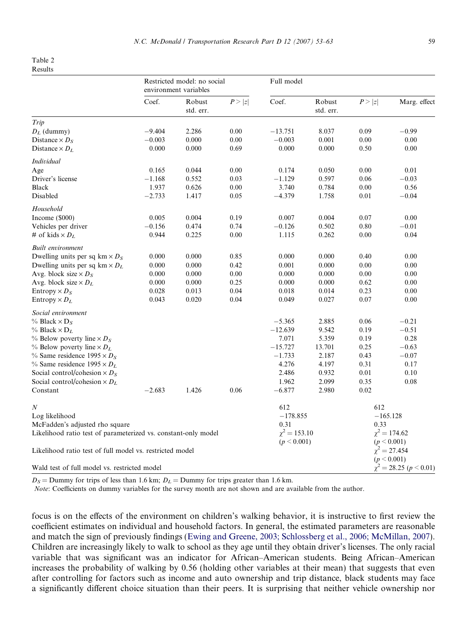#### <span id="page-6-0"></span>Table 2 Results

|                                                                | Restricted model: no social<br>environment variables |                     |                   | Full model  |                     |        |                             |  |
|----------------------------------------------------------------|------------------------------------------------------|---------------------|-------------------|-------------|---------------------|--------|-----------------------------|--|
|                                                                | Coef.                                                | Robust<br>std. err. | P >  z            | Coef.       | Robust<br>std. err. | P >  z | Marg. effect                |  |
| Trip                                                           |                                                      |                     |                   |             |                     |        |                             |  |
| $D_L$ (dummy)                                                  | $-9.404$                                             | 2.286               | 0.00              | $-13.751$   | 8.037               | 0.09   | $-0.99$                     |  |
| Distance $\times D_S$                                          | $-0.003$                                             | 0.000               | 0.00              | $-0.003$    | 0.001               | 0.00   | 0.00                        |  |
| Distance $\times$ $D_L$                                        | 0.000                                                | 0.000               | 0.69              | 0.000       | 0.000               | 0.50   | 0.00                        |  |
| <b>Individual</b>                                              |                                                      |                     |                   |             |                     |        |                             |  |
| Age                                                            | 0.165                                                | 0.044               | 0.00              | 0.174       | 0.050               | 0.00   | 0.01                        |  |
| Driver's license                                               | $-1.168$                                             | 0.552               | 0.03              | $-1.129$    | 0.597               | 0.06   | $-0.03$                     |  |
| <b>Black</b>                                                   | 1.937                                                | 0.626               | 0.00              | 3.740       | 0.784               | 0.00   | 0.56                        |  |
| Disabled                                                       | $-2.733$                                             | 1.417               | 0.05              | $-4.379$    | 1.758               | 0.01   | $-0.04$                     |  |
| Household                                                      |                                                      |                     |                   |             |                     |        |                             |  |
| Income $(\$000)$                                               | 0.005                                                | 0.004               | 0.19              | 0.007       | 0.004               | 0.07   | 0.00                        |  |
| Vehicles per driver                                            | $-0.156$                                             | 0.474               | 0.74              | $-0.126$    | 0.502               | 0.80   | $-0.01$                     |  |
| # of kids $\times D_L$                                         | 0.944                                                | 0.225               | 0.00              | 1.115       | 0.262               | 0.00   | 0.04                        |  |
| <b>Built</b> environment                                       |                                                      |                     |                   |             |                     |        |                             |  |
| Dwelling units per sq km $\times D_S$                          | 0.000                                                | 0.000               | 0.85              | 0.000       | 0.000               | 0.40   | 0.00                        |  |
| Dwelling units per sq km $\times D_L$                          | 0.000                                                | 0.000               | 0.42              | 0.001       | 0.000               | 0.00   | 0.00                        |  |
| Avg. block size $\times D_S$                                   | 0.000                                                | 0.000               | 0.00              | 0.000       | 0.000               | 0.00   | 0.00                        |  |
| Avg. block size $\times D_L$                                   | 0.000                                                | 0.000               | 0.25              | 0.000       | 0.000               | 0.62   | 0.00                        |  |
| Entropy $\times D_S$                                           | 0.028                                                | 0.013               | 0.04              | 0.018       | 0.014               | 0.23   | 0.00                        |  |
| Entropy $\times$ $D_L$                                         | 0.043                                                | 0.020               | 0.04              | 0.049       | 0.027               | 0.07   | 0.00                        |  |
| Social environment                                             |                                                      |                     |                   |             |                     |        |                             |  |
| % Black $\times D_S$                                           |                                                      |                     |                   | $-5.365$    | 2.885               | 0.06   | $-0.21$                     |  |
| % Black $\times D_L$                                           |                                                      |                     |                   | $-12.639$   | 9.542               | 0.19   | $-0.51$                     |  |
| % Below poverty line $\times D_S$                              |                                                      |                     |                   | 7.071       | 5.359               | 0.19   | 0.28                        |  |
| % Below poverty line $\times D_L$                              |                                                      |                     |                   | $-15.727$   | 13.701              | 0.25   | $-0.63$                     |  |
| % Same residence $1995 \times D_s$                             |                                                      |                     |                   | $-1.733$    | 2.187               | 0.43   | $-0.07$                     |  |
| % Same residence $1995 \times D_L$                             |                                                      |                     |                   | 4.276       | 4.197               | 0.31   | 0.17                        |  |
| Social control/cohesion $\times D_S$                           |                                                      |                     |                   | 2.486       | 0.932               | 0.01   | 0.10                        |  |
| Social control/cohesion $\times D_L$                           |                                                      |                     |                   | 1.962       | 2.099               | 0.35   | 0.08                        |  |
| Constant                                                       | $-2.683$                                             | 1.426               | 0.06              | $-6.877$    | 2.980               | 0.02   |                             |  |
| $\boldsymbol{N}$                                               |                                                      |                     |                   | 612         |                     | 612    |                             |  |
| Log likelihood                                                 |                                                      |                     |                   | $-178.855$  |                     |        | $-165.128$                  |  |
| McFadden's adjusted rho square                                 |                                                      |                     |                   | 0.31        |                     | 0.33   |                             |  |
| Likelihood ratio test of parameterized vs. constant-only model |                                                      |                     | $\chi^2 = 153.10$ |             | $\chi^2 = 174.62$   |        |                             |  |
|                                                                |                                                      |                     |                   | (p < 0.001) |                     |        | (p < 0.001)                 |  |
| Likelihood ratio test of full model vs. restricted model       |                                                      |                     |                   |             |                     |        | $\chi^2 = 27.454$           |  |
|                                                                |                                                      |                     |                   |             |                     |        | (p < 0.001)                 |  |
| Wald test of full model vs. restricted model                   |                                                      |                     |                   |             |                     |        | $\chi^2$ = 28.25 (p < 0.01) |  |

 $D<sub>S</sub>$  = Dummy for trips of less than 1.6 km;  $D<sub>L</sub>$  = Dummy for trips greater than 1.6 km.

Note: Coefficients on dummy variables for the survey month are not shown and are available from the author.

focus is on the effects of the environment on children's walking behavior, it is instructive to first review the coefficient estimates on individual and household factors. In general, the estimated parameters are reasonable and match the sign of previously findings ([Ewing and Greene, 2003; Schlossberg et al., 2006; McMillan, 2007](#page-9-0)). Children are increasingly likely to walk to school as they age until they obtain driver's licenses. The only racial variable that was significant was an indicator for African–American students. Being African–American increases the probability of walking by 0.56 (holding other variables at their mean) that suggests that even after controlling for factors such as income and auto ownership and trip distance, black students may face a significantly different choice situation than their peers. It is surprising that neither vehicle ownership nor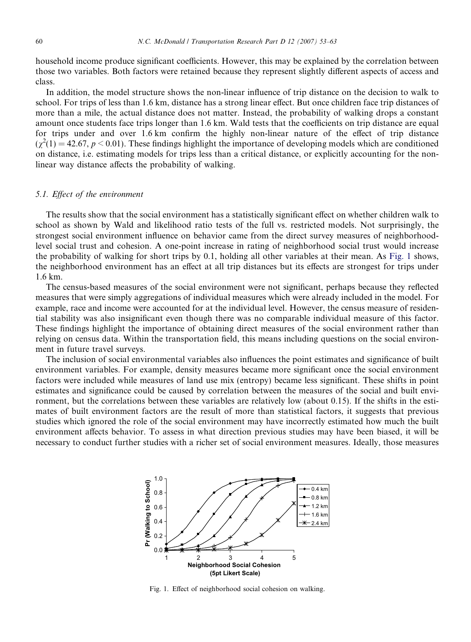household income produce significant coefficients. However, this may be explained by the correlation between those two variables. Both factors were retained because they represent slightly different aspects of access and class.

In addition, the model structure shows the non-linear influence of trip distance on the decision to walk to school. For trips of less than 1.6 km, distance has a strong linear effect. But once children face trip distances of more than a mile, the actual distance does not matter. Instead, the probability of walking drops a constant amount once students face trips longer than 1.6 km. Wald tests that the coefficients on trip distance are equal for trips under and over 1.6 km confirm the highly non-linear nature of the effect of trip distance  $(\chi^2(1) = 42.67, p < 0.01)$ . These findings highlight the importance of developing models which are conditioned on distance, i.e. estimating models for trips less than a critical distance, or explicitly accounting for the nonlinear way distance affects the probability of walking.

# 5.1. Effect of the environment

The results show that the social environment has a statistically significant effect on whether children walk to school as shown by Wald and likelihood ratio tests of the full vs. restricted models. Not surprisingly, the strongest social environment influence on behavior came from the direct survey measures of neighborhoodlevel social trust and cohesion. A one-point increase in rating of neighborhood social trust would increase the probability of walking for short trips by 0.1, holding all other variables at their mean. As Fig. 1 shows, the neighborhood environment has an effect at all trip distances but its effects are strongest for trips under 1.6 km.

The census-based measures of the social environment were not significant, perhaps because they reflected measures that were simply aggregations of individual measures which were already included in the model. For example, race and income were accounted for at the individual level. However, the census measure of residential stability was also insignificant even though there was no comparable individual measure of this factor. These findings highlight the importance of obtaining direct measures of the social environment rather than relying on census data. Within the transportation field, this means including questions on the social environment in future travel surveys.

The inclusion of social environmental variables also influences the point estimates and significance of built environment variables. For example, density measures became more significant once the social environment factors were included while measures of land use mix (entropy) became less significant. These shifts in point estimates and significance could be caused by correlation between the measures of the social and built environment, but the correlations between these variables are relatively low (about 0.15). If the shifts in the estimates of built environment factors are the result of more than statistical factors, it suggests that previous studies which ignored the role of the social environment may have incorrectly estimated how much the built environment affects behavior. To assess in what direction previous studies may have been biased, it will be necessary to conduct further studies with a richer set of social environment measures. Ideally, those measures



Fig. 1. Effect of neighborhood social cohesion on walking.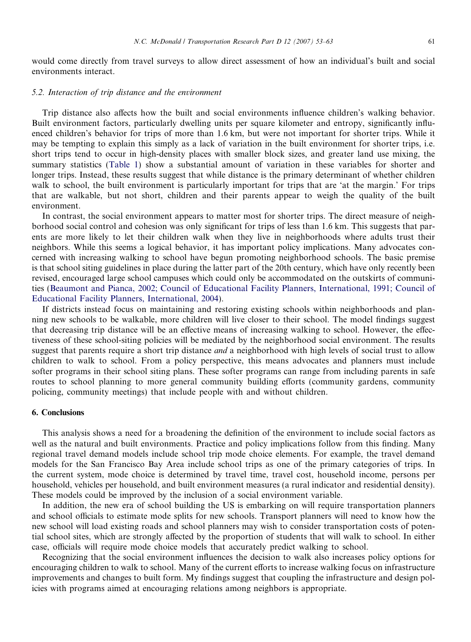would come directly from travel surveys to allow direct assessment of how an individual's built and social environments interact.

# 5.2. Interaction of trip distance and the environment

Trip distance also affects how the built and social environments influence children's walking behavior. Built environment factors, particularly dwelling units per square kilometer and entropy, significantly influenced children's behavior for trips of more than 1.6 km, but were not important for shorter trips. While it may be tempting to explain this simply as a lack of variation in the built environment for shorter trips, i.e. short trips tend to occur in high-density places with smaller block sizes, and greater land use mixing, the summary statistics ([Table 1](#page-3-0)) show a substantial amount of variation in these variables for shorter and longer trips. Instead, these results suggest that while distance is the primary determinant of whether children walk to school, the built environment is particularly important for trips that are 'at the margin.' For trips that are walkable, but not short, children and their parents appear to weigh the quality of the built environment.

In contrast, the social environment appears to matter most for shorter trips. The direct measure of neighborhood social control and cohesion was only significant for trips of less than 1.6 km. This suggests that parents are more likely to let their children walk when they live in neighborhoods where adults trust their neighbors. While this seems a logical behavior, it has important policy implications. Many advocates concerned with increasing walking to school have begun promoting neighborhood schools. The basic premise is that school siting guidelines in place during the latter part of the 20th century, which have only recently been revised, encouraged large school campuses which could only be accommodated on the outskirts of communities ([Beaumont and Pianca, 2002; Council of Educational Facility Planners, International, 1991; Council of](#page-9-0) [Educational Facility Planners, International, 2004\)](#page-9-0).

If districts instead focus on maintaining and restoring existing schools within neighborhoods and planning new schools to be walkable, more children will live closer to their school. The model findings suggest that decreasing trip distance will be an effective means of increasing walking to school. However, the effectiveness of these school-siting policies will be mediated by the neighborhood social environment. The results suggest that parents require a short trip distance *and* a neighborhood with high levels of social trust to allow children to walk to school. From a policy perspective, this means advocates and planners must include softer programs in their school siting plans. These softer programs can range from including parents in safe routes to school planning to more general community building efforts (community gardens, community policing, community meetings) that include people with and without children.

# 6. Conclusions

This analysis shows a need for a broadening the definition of the environment to include social factors as well as the natural and built environments. Practice and policy implications follow from this finding. Many regional travel demand models include school trip mode choice elements. For example, the travel demand models for the San Francisco Bay Area include school trips as one of the primary categories of trips. In the current system, mode choice is determined by travel time, travel cost, household income, persons per household, vehicles per household, and built environment measures (a rural indicator and residential density). These models could be improved by the inclusion of a social environment variable.

In addition, the new era of school building the US is embarking on will require transportation planners and school officials to estimate mode splits for new schools. Transport planners will need to know how the new school will load existing roads and school planners may wish to consider transportation costs of potential school sites, which are strongly affected by the proportion of students that will walk to school. In either case, officials will require mode choice models that accurately predict walking to school.

Recognizing that the social environment influences the decision to walk also increases policy options for encouraging children to walk to school. Many of the current efforts to increase walking focus on infrastructure improvements and changes to built form. My findings suggest that coupling the infrastructure and design policies with programs aimed at encouraging relations among neighbors is appropriate.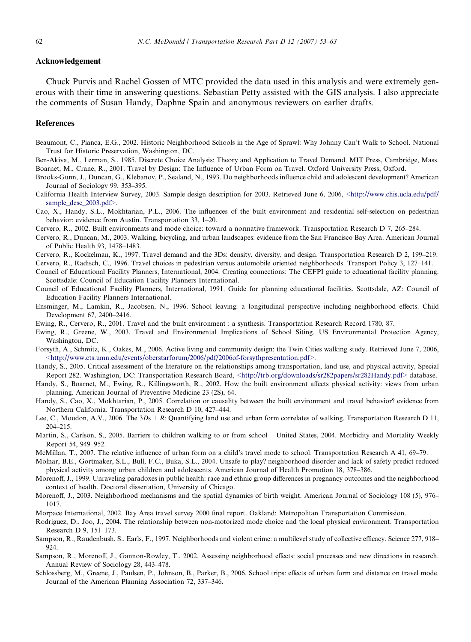#### <span id="page-9-0"></span>Acknowledgement

Chuck Purvis and Rachel Gossen of MTC provided the data used in this analysis and were extremely generous with their time in answering questions. Sebastian Petty assisted with the GIS analysis. I also appreciate the comments of Susan Handy, Daphne Spain and anonymous reviewers on earlier drafts.

#### References

- Beaumont, C., Pianca, E.G., 2002. Historic Neighborhood Schools in the Age of Sprawl: Why Johnny Can't Walk to School. National Trust for Historic Preservation, Washington, DC.
- Ben-Akiva, M., Lerman, S., 1985. Discrete Choice Analysis: Theory and Application to Travel Demand. MIT Press, Cambridge, Mass. Boarnet, M., Crane, R., 2001. Travel by Design: The Influence of Urban Form on Travel. Oxford University Press, Oxford.
- Brooks-Gunn, J., Duncan, G., Klebanov, P., Sealand, N., 1993. Do neighborhoods influence child and adolescent development? American Journal of Sociology 99, 353–395.
- California Health Interview Survey, 2003. Sample design description for 2003. Retrieved June 6, 2006, [<http://www.chis.ucla.edu/pdf/](http://www.chis.ucla.edu/pdf/sample_desc_2003.pdf) [sample\\_desc\\_2003.pdf>.](http://www.chis.ucla.edu/pdf/sample_desc_2003.pdf)
- Cao, X., Handy, S.L., Mokhtarian, P.L., 2006. The influences of the built environment and residential self-selection on pedestrian behavior: evidence from Austin. Transportation 33, 1–20.
- Cervero, R., 2002. Built environments and mode choice: toward a normative framework. Transportation Research D 7, 265–284.
- Cervero, R., Duncan, M., 2003. Walking, bicycling, and urban landscapes: evidence from the San Francisco Bay Area. American Journal of Public Health 93, 1478–1483.
- Cervero, R., Kockelman, K., 1997. Travel demand and the 3Ds: density, diversity, and design. Transportation Research D 2, 199–219.
- Cervero, R., Radisch, C., 1996. Travel choices in pedestrian versus automobile oriented neighborhoods. Transport Policy 3, 127–141.
- Council of Educational Facility Planners, International, 2004. Creating connections: The CEFPI guide to educational facility planning. Scottsdale: Council of Education Facility Planners International.
- Council of Educational Facility Planners, International, 1991. Guide for planning educational facilities. Scottsdale, AZ: Council of Education Facility Planners International.
- Ensminger, M., Lamkin, R., Jacobsen, N., 1996. School leaving: a longitudinal perspective including neighborhood effects. Child Development 67, 2400–2416.
- Ewing, R., Cervero, R., 2001. Travel and the built environment : a synthesis. Transportation Research Record 1780, 87.
- Ewing, R., Greene, W., 2003. Travel and Environmental Implications of School Siting. US Environmental Protection Agency, Washington, DC.
- Forsyth, A., Schmitz, K., Oakes, M., 2006. Active living and community design: the Twin Cities walking study. Retrieved June 7, 2006, [<http://www.cts.umn.edu/events/oberstarforum/2006/pdf/2006of-forsythpresentation.pdf>](http://www.cts.umn.edu/events/oberstarforum/2006/pdf/2006of-forsythpresentation.pdf).
- Handy, S., 2005. Critical assessment of the literature on the relationships among transportation, land use, and physical activity, Special Report 282. Washington, DC: Transportation Research Board, [<http://trb.org/downloads/sr282papers/sr282Handy.pdf>](http://trb.org/downloads/sr282papers/sr282Handy.pdf) database.
- Handy, S., Boarnet, M., Ewing, R., Killingsworth, R., 2002. How the built environment affects physical activity: views from urban planning. American Journal of Preventive Medicine 23 (2S), 64.
- Handy, S., Cao, X., Mokhtarian, P., 2005. Correlation or causality between the built environment and travel behavior? evidence from Northern California. Transportation Research D 10, 427–444.
- Lee, C., Moudon, A.V., 2006. The  $3Ds + R$ : Quantifying land use and urban form correlates of walking. Transportation Research D 11, 204–215.
- Martin, S., Carlson, S., 2005. Barriers to children walking to or from school United States, 2004. Morbidity and Mortality Weekly Report 54, 949–952.
- McMillan, T., 2007. The relative influence of urban form on a child's travel mode to school. Transportation Research A 41, 69–79.
- Molnar, B.E., Gortmaker, S.L., Bull, F.C., Buka, S.L., 2004. Unsafe to play? neighborhood disorder and lack of safety predict reduced physical activity among urban children and adolescents. American Journal of Health Promotion 18, 378–386.
- Morenoff, J., 1999. Unraveling paradoxes in public health: race and ethnic group differences in pregnancy outcomes and the neighborhood context of health. Doctoral dissertation, University of Chicago.
- Morenoff, J., 2003. Neighborhood mechanisms and the spatial dynamics of birth weight. American Journal of Sociology 108 (5), 976– 1017.
- Morpace International, 2002. Bay Area travel survey 2000 final report. Oakland: Metropolitan Transportation Commission.
- Rodriguez, D., Joo, J., 2004. The relationship between non-motorized mode choice and the local physical environment. Transportation Research D 9, 151–173.
- Sampson, R., Raudenbush, S., Earls, F., 1997. Neighborhoods and violent crime: a multilevel study of collective efficacy. Science 277, 918– 924.
- Sampson, R., Morenoff, J., Gannon-Rowley, T., 2002. Assessing neighborhood effects: social processes and new directions in research. Annual Review of Sociology 28, 443–478.
- Schlossberg, M., Greene, J., Paulsen, P., Johnson, B., Parker, B., 2006. School trips: effects of urban form and distance on travel mode. Journal of the American Planning Association 72, 337–346.